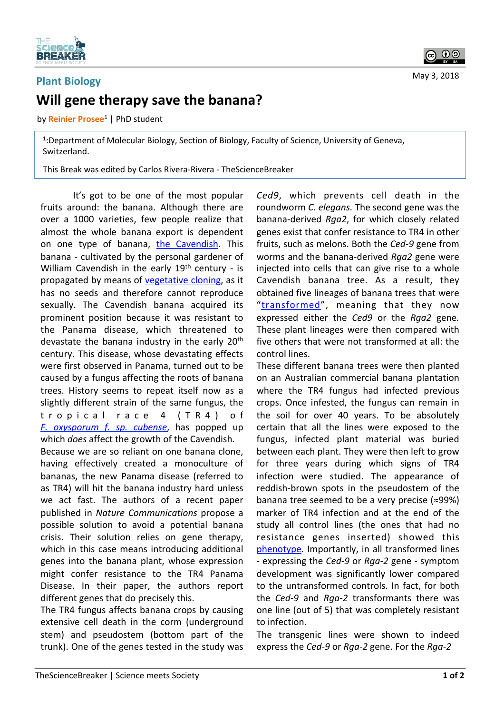

## **Plant Biology Will gene therapy save the banana?**

by **Reinier Prosee<sup>1</sup>** | PhD student

<sup>1</sup>:Department of Molecular Biology, Section of Biology, Faculty of Science, University of Geneva, Switzerland. 

This Break was edited by Carlos Rivera-Rivera - TheScienceBreaker

It's got to be one of the most popular fruits around: the banana. Although there are over a 1000 varieties, few people realize that almost the whole banana export is dependent on one type of banana, the Cavendish. This banana - cultivated by the personal gardener of William Cavendish in the early  $19<sup>th</sup>$  century - is propagated by means of vegetative cloning, as it has no seeds and therefore cannot reproduce sexually. The Cavendish banana acquired its prominent position because it was resistant to the Panama disease, which threatened to devastate the banana industry in the early 20<sup>th</sup> century. This disease, whose devastating effects were first observed in Panama, turned out to be caused by a fungus affecting the roots of banana trees. History seems to repeat itself now as a slightly different strain of the same fungus, the tropical race 4 (TR4) of *F.* oxysporum *f.* sp. cubense, has popped up which *does* affect the growth of the Cavendish.

Because we are so reliant on one banana clone. having effectively created a monoculture of bananas, the new Panama disease (referred to as TR4) will hit the banana industry hard unless we act fast. The authors of a recent paper published in *Nature Communications* propose a possible solution to avoid a potential banana crisis. Their solution relies on gene therapy, which in this case means introducing additional genes into the banana plant, whose expression might confer resistance to the TR4 Panama Disease. In their paper, the authors report different genes that do precisely this.

The TR4 fungus affects banana crops by causing extensive cell death in the corm (underground stem) and pseudostem (bottom part of the trunk). One of the genes tested in the study was

Ced9, which prevents cell death in the roundworm *C. elegans*. The second gene was the banana-derived *Rga2*, for which closely related genes exist that confer resistance to TR4 in other fruits, such as melons. Both the *Ced-9* gene from worms and the banana-derived *Rga2* gene were injected into cells that can give rise to a whole Cavendish banana tree. As a result, they obtained five lineages of banana trees that were "transformed", meaning that they now expressed either the *Ced9* or the *Rga2* gene. These plant lineages were then compared with five others that were not transformed at all: the control lines.

These different banana trees were then planted on an Australian commercial banana plantation where the TR4 fungus had infected previous crops. Once infested, the fungus can remain in the soil for over 40 years. To be absolutely certain that all the lines were exposed to the fungus, infected plant material was buried between each plant. They were then left to grow for three years during which signs of TR4 infection were studied. The appearance of reddish-brown spots in the pseudostem of the banana tree seemed to be a very precise  $($  ≈99%) marker of TR4 infection and at the end of the study all control lines (the ones that had no resistance genes inserted) showed this phenotype. Importantly, in all transformed lines - expressing the *Ced-9* or *Rga-2* gene - symptom development was significantly lower compared to the untransformed controls. In fact, for both the *Ced-9* and *Rga-2* transformants there was one line (out of 5) that was completely resistant to infection.

The transgenic lines were shown to indeed express the *Ced-9* or *Rga-2* gene. For the *Rga-2*